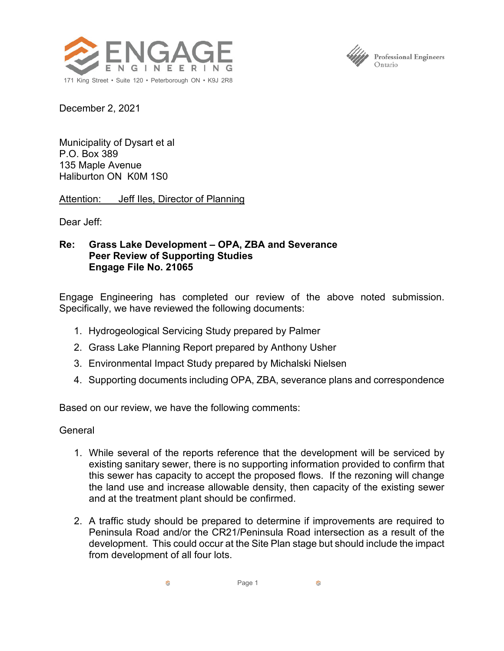



December 2, 2021

Municipality of Dysart et al P.O. Box 389 135 Maple Avenue Haliburton ON K0M 1S0

Attention: Jeff Iles, Director of Planning

Dear Jeff:

## **Re: Grass Lake Development – OPA, ZBA and Severance Peer Review of Supporting Studies Engage File No. 21065**

Engage Engineering has completed our review of the above noted submission. Specifically, we have reviewed the following documents:

- 1. Hydrogeological Servicing Study prepared by Palmer
- 2. Grass Lake Planning Report prepared by Anthony Usher
- 3. Environmental Impact Study prepared by Michalski Nielsen
- 4. Supporting documents including OPA, ZBA, severance plans and correspondence

Based on our review, we have the following comments:

## General

- 1. While several of the reports reference that the development will be serviced by existing sanitary sewer, there is no supporting information provided to confirm that this sewer has capacity to accept the proposed flows. If the rezoning will change the land use and increase allowable density, then capacity of the existing sewer and at the treatment plant should be confirmed.
- 2. A traffic study should be prepared to determine if improvements are required to Peninsula Road and/or the CR21/Peninsula Road intersection as a result of the development. This could occur at the Site Plan stage but should include the impact from development of all four lots.

Ø. Page 1 Ø.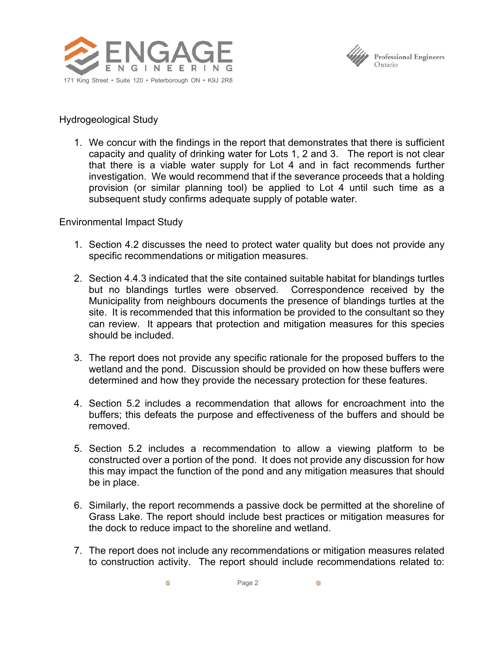



## Hydrogeological Study

1. We concur with the findings in the report that demonstrates that there is sufficient capacity and quality of drinking water for Lots 1, 2 and 3. The report is not clear that there is a viable water supply for Lot 4 and in fact recommends further investigation. We would recommend that if the severance proceeds that a holding provision (or similar planning tool) be applied to Lot 4 until such time as a subsequent study confirms adequate supply of potable water.

## Environmental Impact Study

- 1. Section 4.2 discusses the need to protect water quality but does not provide any specific recommendations or mitigation measures.
- 2. Section 4.4.3 indicated that the site contained suitable habitat for blandings turtles but no blandings turtles were observed. Correspondence received by the Municipality from neighbours documents the presence of blandings turtles at the site. It is recommended that this information be provided to the consultant so they can review. It appears that protection and mitigation measures for this species should be included.
- 3. The report does not provide any specific rationale for the proposed buffers to the wetland and the pond. Discussion should be provided on how these buffers were determined and how they provide the necessary protection for these features.
- 4. Section 5.2 includes a recommendation that allows for encroachment into the buffers; this defeats the purpose and effectiveness of the buffers and should be removed.
- 5. Section 5.2 includes a recommendation to allow a viewing platform to be constructed over a portion of the pond. It does not provide any discussion for how this may impact the function of the pond and any mitigation measures that should be in place.
- 6. Similarly, the report recommends a passive dock be permitted at the shoreline of Grass Lake. The report should include best practices or mitigation measures for the dock to reduce impact to the shoreline and wetland.
- 7. The report does not include any recommendations or mitigation measures related to construction activity. The report should include recommendations related to: